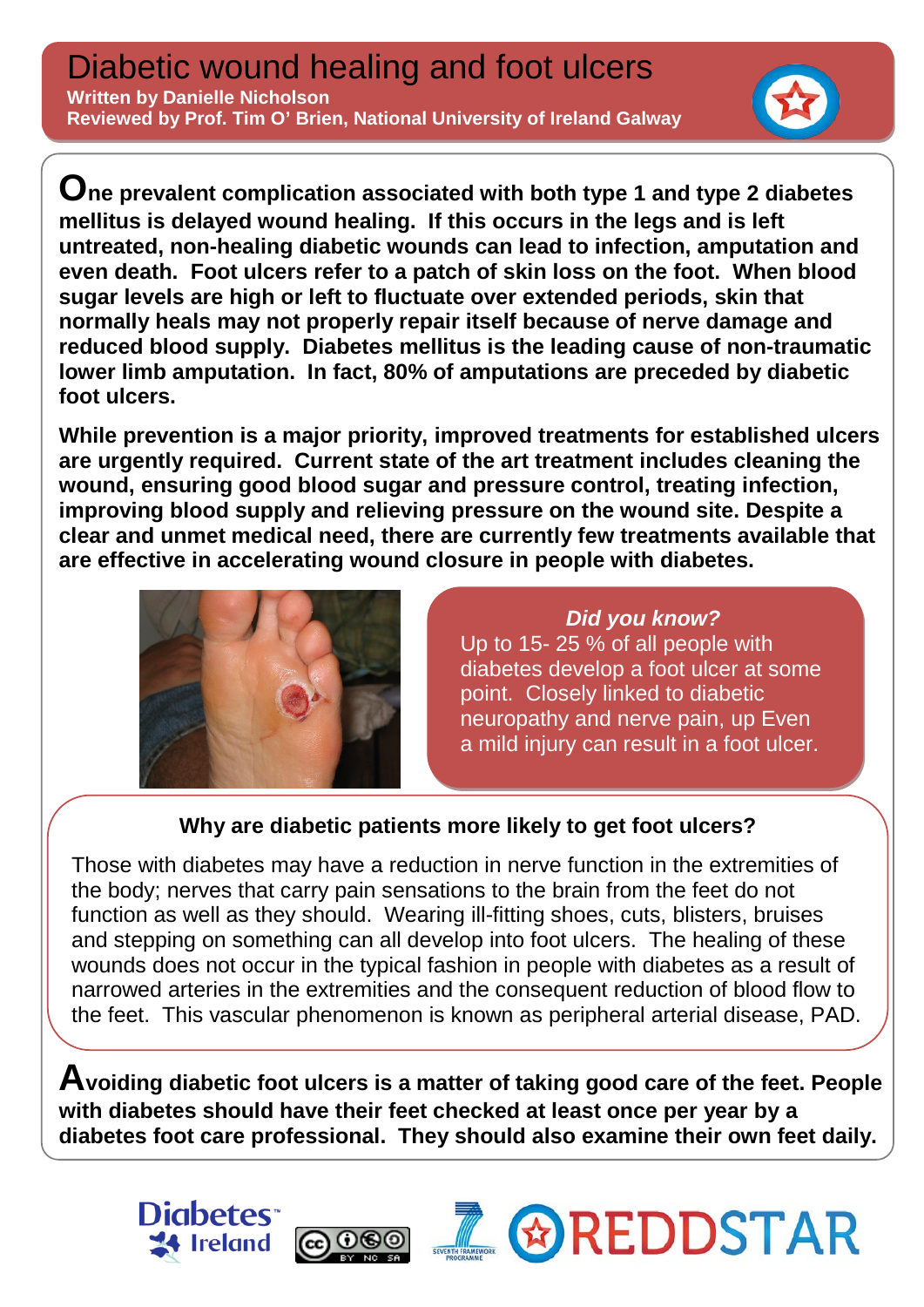**One prevalent complication associated with both type 1 and type 2 diabetes mellitus is delayed wound healing. If this occurs in the legs and is left untreated, non-healing diabetic wounds can lead to infection, amputation and even death. Foot ulcers refer to a patch of skin loss on the foot. When blood sugar levels are high or left to fluctuate over extended periods, skin that normally heals may not properly repair itself because of nerve damage and reduced blood supply. Diabetes mellitus is the leading cause of non-traumatic lower limb amputation. In fact, 80% of amputations are preceded by diabetic foot ulcers.** 

**While prevention is a major priority, improved treatments for established ulcers are urgently required. Current state of the art treatment includes cleaning the wound, ensuring good blood sugar and pressure control, treating infection, improving blood supply and relieving pressure on the wound site. Despite a clear and unmet medical need, there are currently few treatments available that are effective in accelerating wound closure in people with diabetes.**



*Did you know?* Up to 15- 25 % of all people with diabetes develop a foot ulcer at some point. Closely linked to diabetic neuropathy and nerve pain, up Even a mild injury can result in a foot ulcer.

## **Why are diabetic patients more likely to get foot ulcers?**

 Those with diabetes may have a reduction in nerve function in the extremities of the body; nerves that carry pain sensations to the brain from the feet do not function as well as they should. Wearing ill-fitting shoes, cuts, blisters, bruises and stepping on something can all develop into foot ulcers. The healing of these wounds does not occur in the typical fashion in people with diabetes as a result of narrowed arteries in the extremities and the consequent reduction of blood flow to the feet. This vascular phenomenon is known as peripheral arterial disease, PAD.

**Avoiding diabetic foot ulcers is a matter of taking good care of the feet. People with diabetes should have their feet checked at least once per year by a diabetes foot care professional. They should also examine their own feet daily.**

രൈ